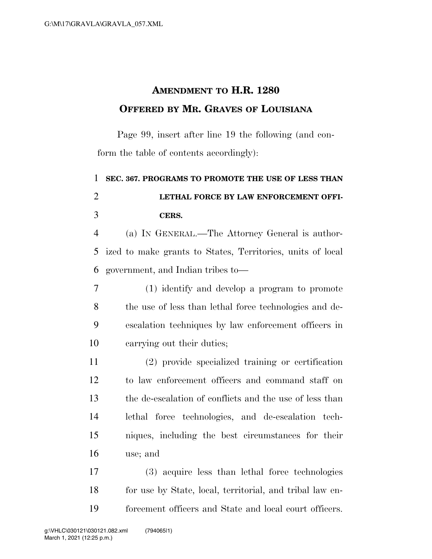## **AMENDMENT TO H.R. 1280 OFFERED BY MR. GRAVES OF LOUISIANA**

Page 99, insert after line 19 the following (and conform the table of contents accordingly):

 **SEC. 367. PROGRAMS TO PROMOTE THE USE OF LESS THAN LETHAL FORCE BY LAW ENFORCEMENT OFFI-CERS.** 

 (a) IN GENERAL.—The Attorney General is author- ized to make grants to States, Territories, units of local government, and Indian tribes to—

 (1) identify and develop a program to promote the use of less than lethal force technologies and de- escalation techniques by law enforcement officers in carrying out their duties;

 (2) provide specialized training or certification to law enforcement officers and command staff on the de-escalation of conflicts and the use of less than lethal force technologies, and de-escalation tech- niques, including the best circumstances for their use; and

 (3) acquire less than lethal force technologies for use by State, local, territorial, and tribal law en-forcement officers and State and local court officers.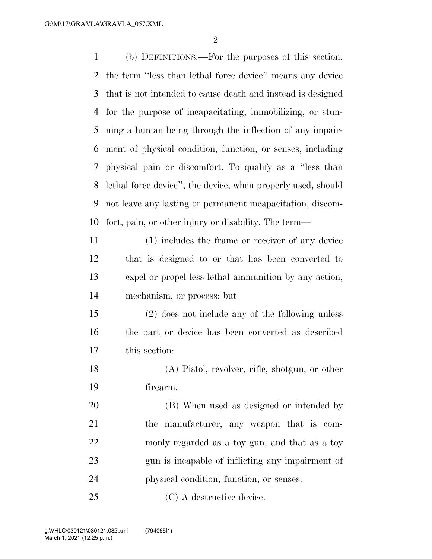(b) DEFINITIONS.—For the purposes of this section, the term ''less than lethal force device'' means any device that is not intended to cause death and instead is designed for the purpose of incapacitating, immobilizing, or stun- ning a human being through the inflection of any impair- ment of physical condition, function, or senses, including physical pain or discomfort. To qualify as a ''less than lethal force device'', the device, when properly used, should not leave any lasting or permanent incapacitation, discom- fort, pain, or other injury or disability. The term— (1) includes the frame or receiver of any device that is designed to or that has been converted to expel or propel less lethal ammunition by any action, mechanism, or process; but (2) does not include any of the following unless

 the part or device has been converted as described this section:

 (A) Pistol, revolver, rifle, shotgun, or other firearm.

 (B) When used as designed or intended by the manufacturer, any weapon that is com- monly regarded as a toy gun, and that as a toy gun is incapable of inflicting any impairment of physical condition, function, or senses.

(C) A destructive device.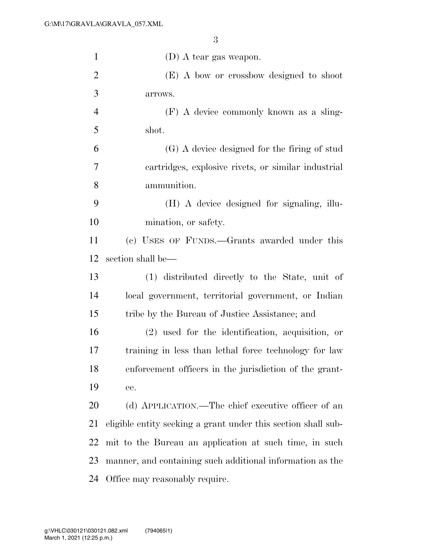| $\mathbf{1}$   | $(D)$ A tear gas weapon.                                      |
|----------------|---------------------------------------------------------------|
| $\overline{2}$ | (E) A bow or crossbow designed to shoot                       |
| 3              | arrows.                                                       |
| $\overline{4}$ | (F) A device commonly known as a sling-                       |
| 5              | shot.                                                         |
| 6              | (G) A device designed for the firing of stud                  |
| $\overline{7}$ | cartridges, explosive rivets, or similar industrial           |
| 8              | ammunition.                                                   |
| 9              | (H) A device designed for signaling, illu-                    |
| 10             | mination, or safety.                                          |
| 11             | (c) USES OF FUNDS.—Grants awarded under this                  |
| 12             | section shall be—                                             |
| 13             | (1) distributed directly to the State, unit of                |
| 14             | local government, territorial government, or Indian           |
| 15             | tribe by the Bureau of Justice Assistance; and                |
| 16             | $(2)$ used for the identification, acquisition, or            |
| 17             | training in less than lethal force technology for law         |
| 18             | enforcement officers in the jurisdiction of the grant-        |
| 19             | ee.                                                           |
| 20             | (d) APPLICATION.—The chief executive officer of an            |
| 21             | eligible entity seeking a grant under this section shall sub- |
| 22             | mit to the Bureau an application at such time, in such        |
| 23             | manner, and containing such additional information as the     |
| 24             | Office may reasonably require.                                |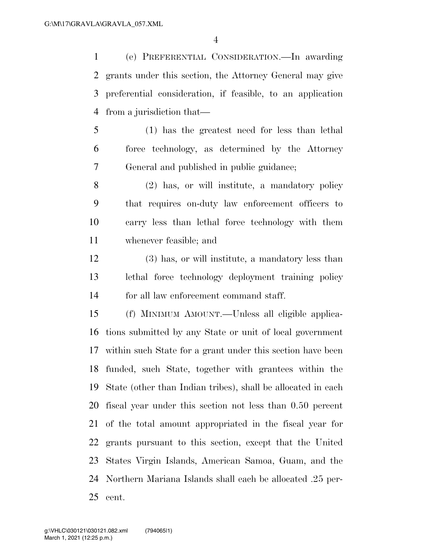(e) PREFERENTIAL CONSIDERATION.—In awarding grants under this section, the Attorney General may give preferential consideration, if feasible, to an application from a jurisdiction that—

 (1) has the greatest need for less than lethal force technology, as determined by the Attorney General and published in public guidance;

 (2) has, or will institute, a mandatory policy that requires on-duty law enforcement officers to carry less than lethal force technology with them whenever feasible; and

 (3) has, or will institute, a mandatory less than lethal force technology deployment training policy for all law enforcement command staff.

 (f) MINIMUM AMOUNT.—Unless all eligible applica- tions submitted by any State or unit of local government within such State for a grant under this section have been funded, such State, together with grantees within the State (other than Indian tribes), shall be allocated in each fiscal year under this section not less than 0.50 percent of the total amount appropriated in the fiscal year for grants pursuant to this section, except that the United States Virgin Islands, American Samoa, Guam, and the Northern Mariana Islands shall each be allocated .25 per-cent.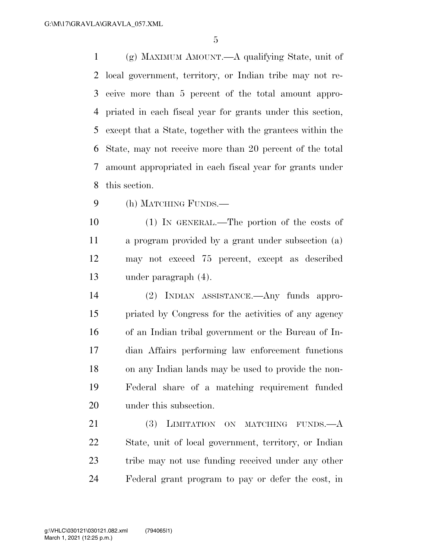(g) MAXIMUM AMOUNT.—A qualifying State, unit of local government, territory, or Indian tribe may not re- ceive more than 5 percent of the total amount appro- priated in each fiscal year for grants under this section, except that a State, together with the grantees within the State, may not receive more than 20 percent of the total amount appropriated in each fiscal year for grants under this section.

(h) MATCHING FUNDS.—

 (1) IN GENERAL.—The portion of the costs of a program provided by a grant under subsection (a) may not exceed 75 percent, except as described under paragraph (4).

 (2) INDIAN ASSISTANCE.—Any funds appro- priated by Congress for the activities of any agency of an Indian tribal government or the Bureau of In- dian Affairs performing law enforcement functions on any Indian lands may be used to provide the non- Federal share of a matching requirement funded under this subsection.

21 (3) LIMITATION ON MATCHING FUNDS.—A State, unit of local government, territory, or Indian tribe may not use funding received under any other Federal grant program to pay or defer the cost, in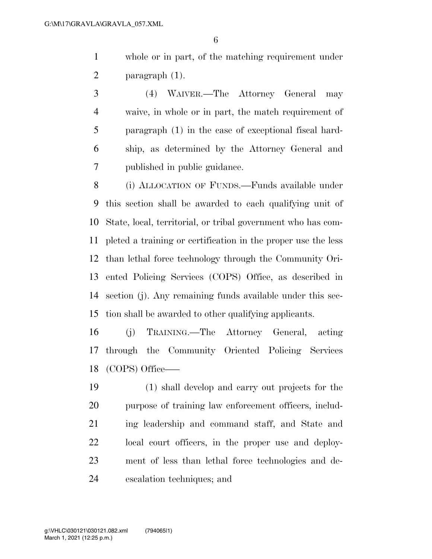whole or in part, of the matching requirement under paragraph (1).

 (4) WAIVER.—The Attorney General may waive, in whole or in part, the match requirement of paragraph (1) in the case of exceptional fiscal hard- ship, as determined by the Attorney General and published in public guidance.

 (i) ALLOCATION OF FUNDS.—Funds available under this section shall be awarded to each qualifying unit of State, local, territorial, or tribal government who has com- pleted a training or certification in the proper use the less than lethal force technology through the Community Ori- ented Policing Services (COPS) Office, as described in section (j). Any remaining funds available under this sec-tion shall be awarded to other qualifying applicants.

 (j) TRAINING.—The Attorney General, acting through the Community Oriented Policing Services (COPS) Office–—

 (1) shall develop and carry out projects for the purpose of training law enforcement officers, includ- ing leadership and command staff, and State and local court officers, in the proper use and deploy- ment of less than lethal force technologies and de-escalation techniques; and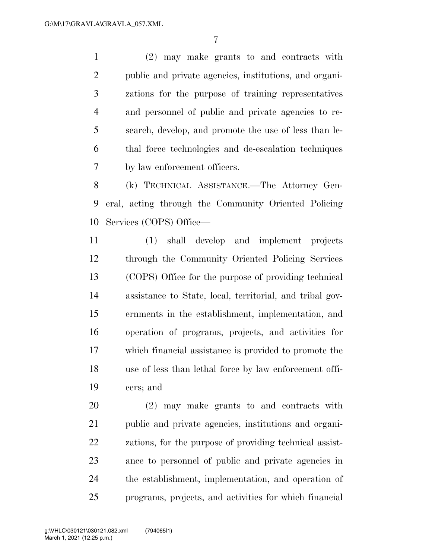(2) may make grants to and contracts with public and private agencies, institutions, and organi- zations for the purpose of training representatives and personnel of public and private agencies to re- search, develop, and promote the use of less than le- thal force technologies and de-escalation techniques by law enforcement officers.

 (k) TECHNICAL ASSISTANCE.—The Attorney Gen- eral, acting through the Community Oriented Policing Services (COPS) Office—

 (1) shall develop and implement projects through the Community Oriented Policing Services (COPS) Office for the purpose of providing technical assistance to State, local, territorial, and tribal gov- ernments in the establishment, implementation, and operation of programs, projects, and activities for which financial assistance is provided to promote the use of less than lethal force by law enforcement offi-cers; and

 (2) may make grants to and contracts with public and private agencies, institutions and organi- zations, for the purpose of providing technical assist- ance to personnel of public and private agencies in the establishment, implementation, and operation of programs, projects, and activities for which financial